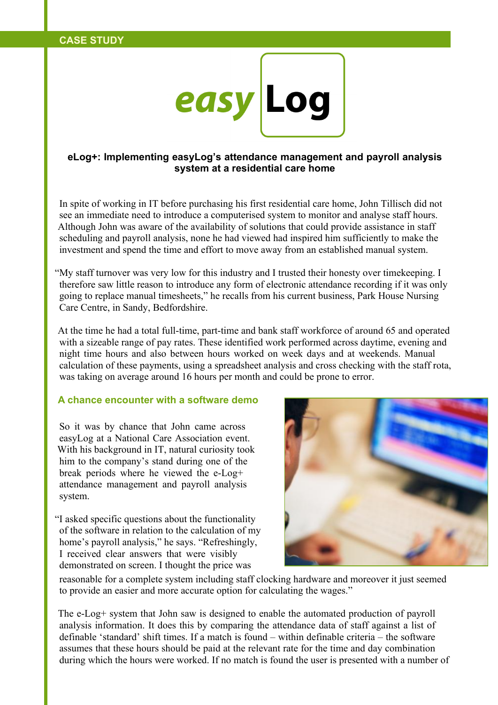# easy Log

### **eLog+: Implementing easyLog's attendance management and payroll analysis system at a residential care home**

In spite of working in IT before purchasing his first residential care home, John Tillisch did not see an immediate need to introduce a computerised system to monitor and analyse staff hours. Although John was aware of the availability of solutions that could provide assistance in staff scheduling and payroll analysis, none he had viewed had inspired him sufficiently to make the investment and spend the time and effort to move away from an established manual system.

"My staff turnover was very low for this industry and I trusted their honesty over timekeeping. I therefore saw little reason to introduce any form of electronic attendance recording if it was only going to replace manual timesheets," he recalls from his current business, Park House Nursing Care Centre, in Sandy, Bedfordshire.

At the time he had a total full-time, part-time and bank staff workforce of around 65 and operated with a sizeable range of pay rates. These identified work performed across daytime, evening and night time hours and also between hours worked on week days and at weekends. Manual calculation of these payments, using a spreadsheet analysis and cross checking with the staff rota, was taking on average around 16 hours per month and could be prone to error.

#### **A chance encounter with a software demo**

So it was by chance that John came across easyLog at a National Care Association event. With his background in IT, natural curiosity took him to the company's stand during one of the break periods where he viewed the e-Log+ attendance management and payroll analysis system.

"I asked specific questions about the functionality of the software in relation to the calculation of my home's payroll analysis," he says. "Refreshingly, I received clear answers that were visibly demonstrated on screen. I thought the price was



reasonable for a complete system including staff clocking hardware and moreover it just seemed to provide an easier and more accurate option for calculating the wages."

The e-Log+ system that John saw is designed to enable the automated production of payroll analysis information. It does this by comparing the attendance data of staff against a list of definable 'standard' shift times. If a match is found – within definable criteria – the software assumes that these hours should be paid at the relevant rate for the time and day combination during which the hours were worked. If no match is found the user is presented with a number of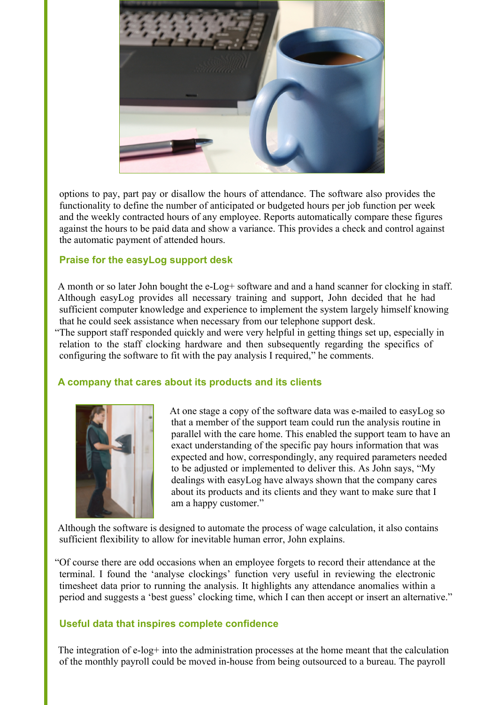

options to pay, part pay or disallow the hours of attendance. The software also provides the functionality to define the number of anticipated or budgeted hours per job function per week and the weekly contracted hours of any employee. Reports automatically compare these figures against the hours to be paid data and show a variance. This provides a check and control against the automatic payment of attended hours.

# **Praise for the easyLog support desk**

A month or so later John bought the e-Log+ software and and a hand scanner for clocking in staff. Although easyLog provides all necessary training and support, John decided that he had sufficient computer knowledge and experience to implement the system largely himself knowing that he could seek assistance when necessary from our telephone support desk.

"The support staff responded quickly and were very helpful in getting things set up, especially in relation to the staff clocking hardware and then subsequently regarding the specifics of configuring the software to fit with the pay analysis I required," he comments.

# **A company that cares about its products and its clients**



At one stage a copy of the software data was e-mailed to easyLog so that a member of the support team could run the analysis routine in parallel with the care home. This enabled the support team to have an exact understanding of the specific pay hours information that was expected and how, correspondingly, any required parameters needed to be adjusted or implemented to deliver this. As John says, "My dealings with easyLog have always shown that the company cares about its products and its clients and they want to make sure that I am a happy customer."

Although the software is designed to automate the process of wage calculation, it also contains sufficient flexibility to allow for inevitable human error, John explains.

"Of course there are odd occasions when an employee forgets to record their attendance at the terminal. I found the 'analyse clockings' function very useful in reviewing the electronic timesheet data prior to running the analysis. It highlights any attendance anomalies within a period and suggests a 'best guess' clocking time, which I can then accept or insert an alternative."

# **Useful data that inspires complete confidence**

The integration of  $e$ -log+ into the administration processes at the home meant that the calculation of the monthly payroll could be moved in-house from being outsourced to a bureau. The payroll